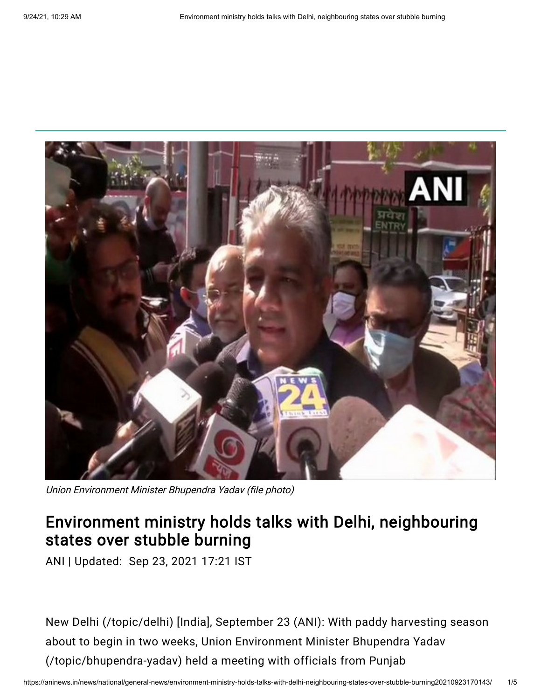

Union Environment Minister Bhupendra Yadav (file photo)

## Environment ministry holds talks with Delhi, neighbouring states over stubble burning

ANI | Updated: Sep 23, 2021 17:21 IST

New Delhi [\(/topic/delhi\)](https://aninews.in/topic/delhi) [India], September 23 (ANI): With paddy harvesting season about to begin in two weeks, Union Environment Minister Bhupendra Yadav [\(/topic/bhupendra-yadav\)](https://aninews.in/topic/bhupendra-yadav) held a meeting with officials from Punjab